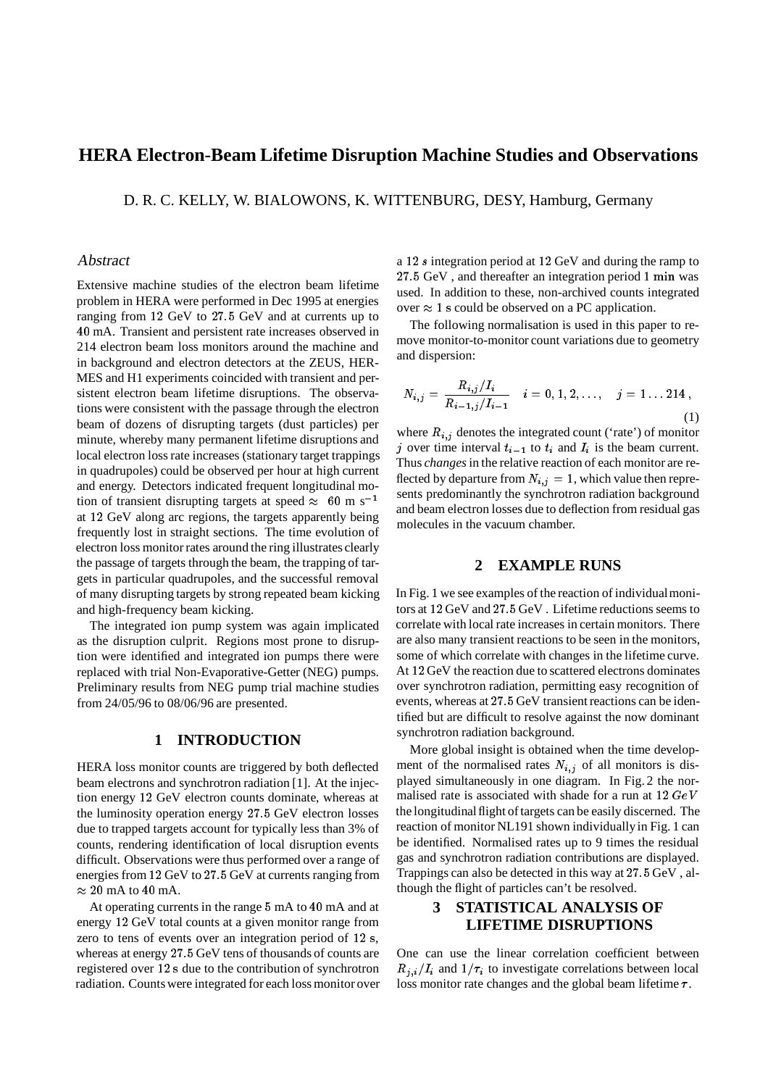## **HERA Electron-Beam Lifetime Disruption Machine Studies and Observations**

D. R. C. KELLY, W. BIALOWONS, K. WITTENBURG, DESY, Hamburg, Germany

#### Abstract

Extensive machine studies of the electron beam lifetime problem in HERA were performed in Dec 1995 at energies ranging from <sup>12</sup> GeV to 27:5 GeV and at currents up to <sup>40</sup> mA. Transient and persistent rate increases observed in 214 electron beam loss monitors around the machine and in background and electron detectors at the ZEUS, HER-MES and H1 experiments coincided with transient and persistent electron beam lifetime disruptions. The observations were consistent with the passage through the electron beam of dozens of disrupting targets (dust particles) per minute, whereby many permanent lifetime disruptions and local electron loss rate increases (stationary target trappings in quadrupoles) could be observed per hour at high current and energy. Detectors indicated frequent longitudinal motion of transient disrupting targets at speed  $\approx 60$  m s<sup>-1</sup> at <sup>12</sup> GeV along arc regions, the targets apparently being frequently lost in straight sections. The time evolution of electron loss monitor rates around the ring illustrates clearly the passage of targets through the beam, the trapping of targets in particular quadrupoles, and the successful removal of many disrupting targets by strong repeated beam kicking and high-frequency beam kicking.

The integrated ion pump system was again implicated as the disruption culprit. Regions most prone to disruption were identified and integrated ion pumps there were replaced with trial Non-Evaporative-Getter (NEG) pumps. Preliminary results from NEG pump trial machine studies from 24/05/96 to 08/06/96 are presented.

### **1 INTRODUCTION**

HERA loss monitor counts are triggered by both deflected beam electrons and synchrotron radiation [1]. At the injection energy <sup>12</sup> GeV electron counts dominate, whereas at the luminosity operation energy 27:5 GeV electron losses due to trapped targets account for typically less than 3% of counts, rendering identification of local disruption events difficult. Observations were thus performed over a range of energies from <sup>12</sup> GeV to 27:5 GeV at currents ranging from  $\approx 20$  mA to 40 mA.

At operating currents in the range <sup>5</sup> mA to <sup>40</sup> mA and at energy <sup>12</sup> GeV total counts at a given monitor range from zero to tens of events over an integration period of 12 s, whereas at energy 27:5 GeV tens of thousands of counts are registered over 12 s due to the contribution of synchrotron radiation. Counts were integrated for each loss monitor over a <sup>12</sup> <sup>s</sup> integration period at <sup>12</sup> GeV and during the ramp to 27:5 GeV , and thereafter an integration period 1 min was used. In addition to these, non-archived counts integrated over  $\approx 1$  s could be observed on a PC application.

The following normalisation is used in this paper to remove monitor-to-monitor count variations due to geometry and dispersion:

$$
N_{i,j} = \frac{R_{i,j}/I_i}{R_{i-1,j}/I_{i-1}} \quad i = 0, 1, 2, ..., \quad j = 1...214,
$$
\n(1)

where  $R_{i,j}$  denotes the integrated count ('rate') of monitor j over time interval  $t_{i-1}$  to  $t_i$  and  $I_i$  is the beam current. Thus *changes*in the relative reaction of each monitor are reflected by departure from  $N_{i,j} = 1$ , which value then represents predominantly the synchrotron radiation background and beam electron losses due to deflection from residual gas molecules in the vacuum chamber.

### **2 EXAMPLE RUNS**

In Fig. 1 we see examples of the reaction of individualmonitors at <sup>12</sup> GeV and 27:5 GeV . Lifetime reductions seems to correlate with local rate increases in certain monitors. There are also many transient reactions to be seen in the monitors, some of which correlate with changes in the lifetime curve. At <sup>12</sup> GeV the reaction due to scattered electrons dominates over synchrotron radiation, permitting easy recognition of events, whereas at 27:5 GeV transient reactions can be identified but are difficult to resolve against the now dominant synchrotron radiation background.

More global insight is obtained when the time development of the normalised rates  $N_{i,j}$  of all monitors is displayed simultaneously in one diagram. In Fig. 2 the normalised rate is associated with shade for a run at  $12 \text{ GeV}$ the longitudinal flight of targets can be easily discerned. The reaction of monitor NL191 shown individuallyin Fig. 1 can be identified. Normalised rates up to 9 times the residual gas and synchrotron radiation contributions are displayed. Trappings can also be detected in this way at 27:5 GeV , although the flight of particles can't be resolved.

## **3 STATISTICAL ANALYSIS OF LIFETIME DISRUPTIONS**

One can use the linear correlation coefficient between  $R_{i,i}/I_i$  and  $1/\tau_i$  to investigate correlations between local loss monitor rate changes and the global beam lifetime  $\tau$ .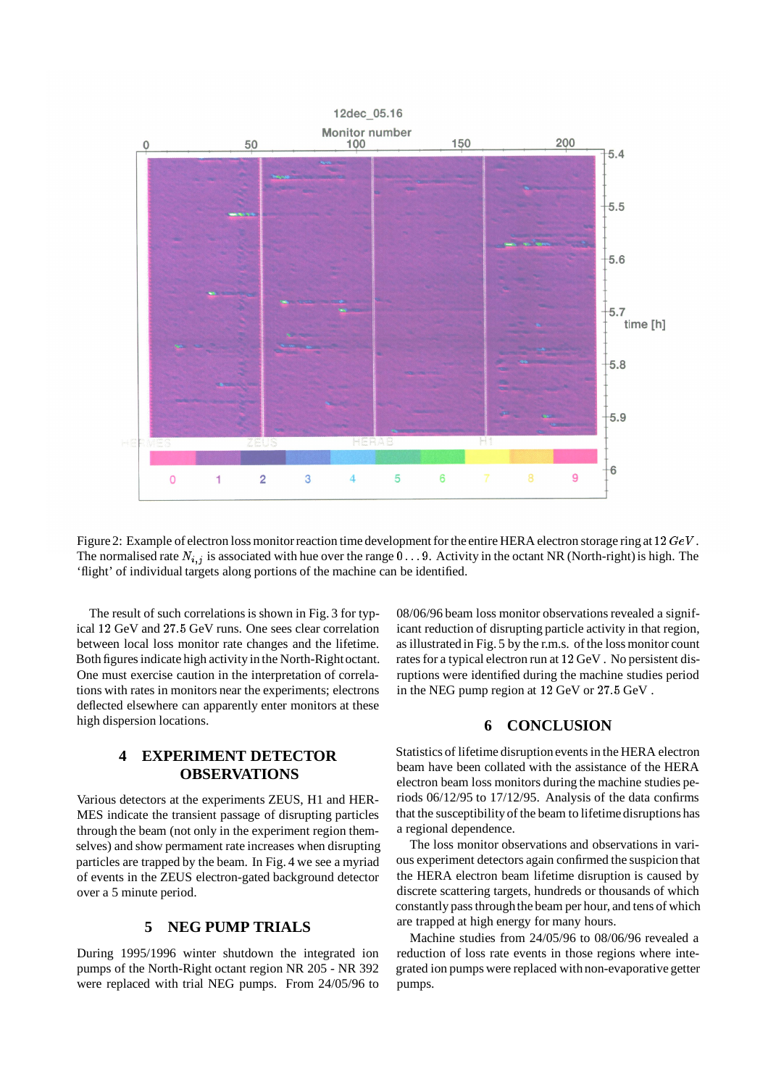

Figure 2: Example of electron loss monitor reaction time development for the entire HERA electron storage ring at 12  $GeV$ . The normalised rate  $N_{i,j}$  is associated with hue over the range 0 . . . 9. Activity in the octant NR (North-right) is high. The 'flight' of individual targets along portions of the machine can be identified.

The result of such correlations is shown in Fig. 3 for typical <sup>12</sup> GeV and 27:5 GeV runs. One sees clear correlation between local loss monitor rate changes and the lifetime. Both figures indicate high activity in the North-Rightoctant. One must exercise caution in the interpretation of correlations with rates in monitors near the experiments; electrons deflected elsewhere can apparently enter monitors at these high dispersion locations.

# **4 EXPERIMENT DETECTOR OBSERVATIONS**

Various detectors at the experiments ZEUS, H1 and HER-MES indicate the transient passage of disrupting particles through the beam (not only in the experiment region themselves) and show permament rate increases when disrupting particles are trapped by the beam. In Fig. 4 we see a myriad of events in the ZEUS electron-gated background detector over a 5 minute period.

## **5 NEG PUMP TRIALS**

During 1995/1996 winter shutdown the integrated ion pumps of the North-Right octant region NR 205 - NR 392 were replaced with trial NEG pumps. From 24/05/96 to 08/06/96 beam loss monitor observations revealed a significant reduction of disrupting particle activity in that region, as illustrated in Fig. 5 by the r.m.s. of the loss monitor count rates for a typical electron run at <sup>12</sup> GeV . No persistent disruptions were identified during the machine studies period in the NEG pump region at <sup>12</sup> GeV or 27:5 GeV .

### **6 CONCLUSION**

Statistics of lifetime disruptionevents in the HERA electron beam have been collated with the assistance of the HERA electron beam loss monitors during the machine studies periods 06/12/95 to 17/12/95. Analysis of the data confirms that the susceptibilityof the beam to lifetime disruptions has a regional dependence.

The loss monitor observations and observations in various experiment detectors again confirmed the suspicion that the HERA electron beam lifetime disruption is caused by discrete scattering targets, hundreds or thousands of which constantly pass throughthe beam per hour, and tens of which are trapped at high energy for many hours.

Machine studies from 24/05/96 to 08/06/96 revealed a reduction of loss rate events in those regions where integrated ion pumps were replaced with non-evaporative getter pumps.